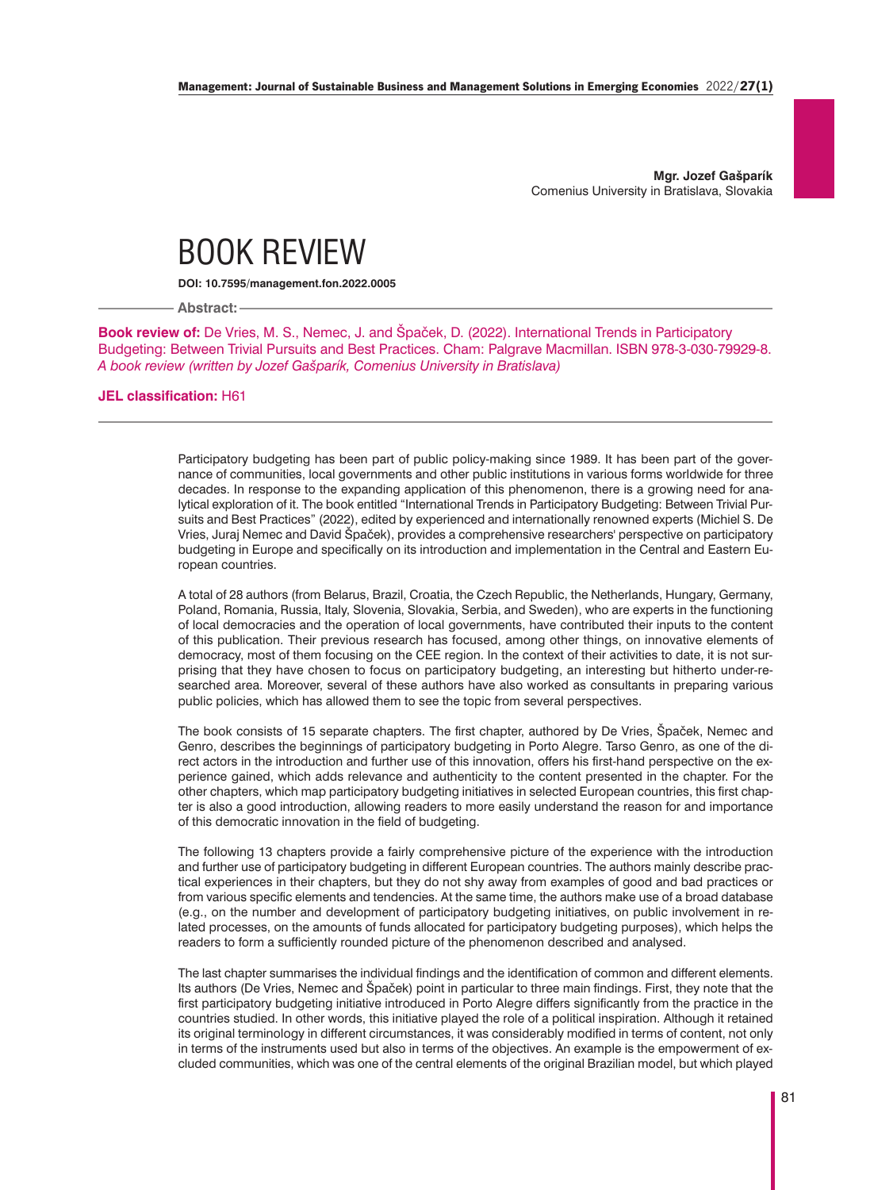**Mgr. Jozef Gašparík** Comenius University in Bratislava, Slovakia

## BOOK REVIEW

**DOI: 10.7595/management.fon.2022.0005**

**Abstract:**

**Book review of:** De Vries, M. S., Nemec, J. and Špaček, D. (2022). International Trends in Participatory Budgeting: Between Trivial Pursuits and Best Practices. Cham: Palgrave Macmillan. ISBN 978-3-030-79929-8. *A book review (written by Jozef Gašparík, Comenius University in Bratislava)*

## **JEL classification:** H61

Participatory budgeting has been part of public policy-making since 1989. It has been part of the governance of communities, local governments and other public institutions in various forms worldwide for three decades. In response to the expanding application of this phenomenon, there is a growing need for analytical exploration of it. The book entitled "International Trends in Participatory Budgeting: Between Trivial Pursuits and Best Practices" (2022), edited by experienced and internationally renowned experts (Michiel S. De Vries, Juraj Nemec and David Špaček), provides a comprehensive researchers' perspective on participatory budgeting in Europe and specifically on its introduction and implementation in the Central and Eastern European countries.

A total of 28 authors (from Belarus, Brazil, Croatia, the Czech Republic, the Netherlands, Hungary, Germany, Poland, Romania, Russia, Italy, Slovenia, Slovakia, Serbia, and Sweden), who are experts in the functioning of local democracies and the operation of local governments, have contributed their inputs to the content of this publication. Their previous research has focused, among other things, on innovative elements of democracy, most of them focusing on the CEE region. In the context of their activities to date, it is not surprising that they have chosen to focus on participatory budgeting, an interesting but hitherto under-researched area. Moreover, several of these authors have also worked as consultants in preparing various public policies, which has allowed them to see the topic from several perspectives.

The book consists of 15 separate chapters. The first chapter, authored by De Vries, Špaček, Nemec and Genro, describes the beginnings of participatory budgeting in Porto Alegre. Tarso Genro, as one of the direct actors in the introduction and further use of this innovation, offers his first-hand perspective on the experience gained, which adds relevance and authenticity to the content presented in the chapter. For the other chapters, which map participatory budgeting initiatives in selected European countries, this first chapter is also a good introduction, allowing readers to more easily understand the reason for and importance of this democratic innovation in the field of budgeting.

The following 13 chapters provide a fairly comprehensive picture of the experience with the introduction and further use of participatory budgeting in different European countries. The authors mainly describe practical experiences in their chapters, but they do not shy away from examples of good and bad practices or from various specific elements and tendencies. At the same time, the authors make use of a broad database (e.g., on the number and development of participatory budgeting initiatives, on public involvement in related processes, on the amounts of funds allocated for participatory budgeting purposes), which helps the readers to form a sufficiently rounded picture of the phenomenon described and analysed.

The last chapter summarises the individual findings and the identification of common and different elements. Its authors (De Vries, Nemec and Špaček) point in particular to three main findings. First, they note that the first participatory budgeting initiative introduced in Porto Alegre differs significantly from the practice in the countries studied. In other words, this initiative played the role of a political inspiration. Although it retained its original terminology in different circumstances, it was considerably modified in terms of content, not only in terms of the instruments used but also in terms of the objectives. An example is the empowerment of excluded communities, which was one of the central elements of the original Brazilian model, but which played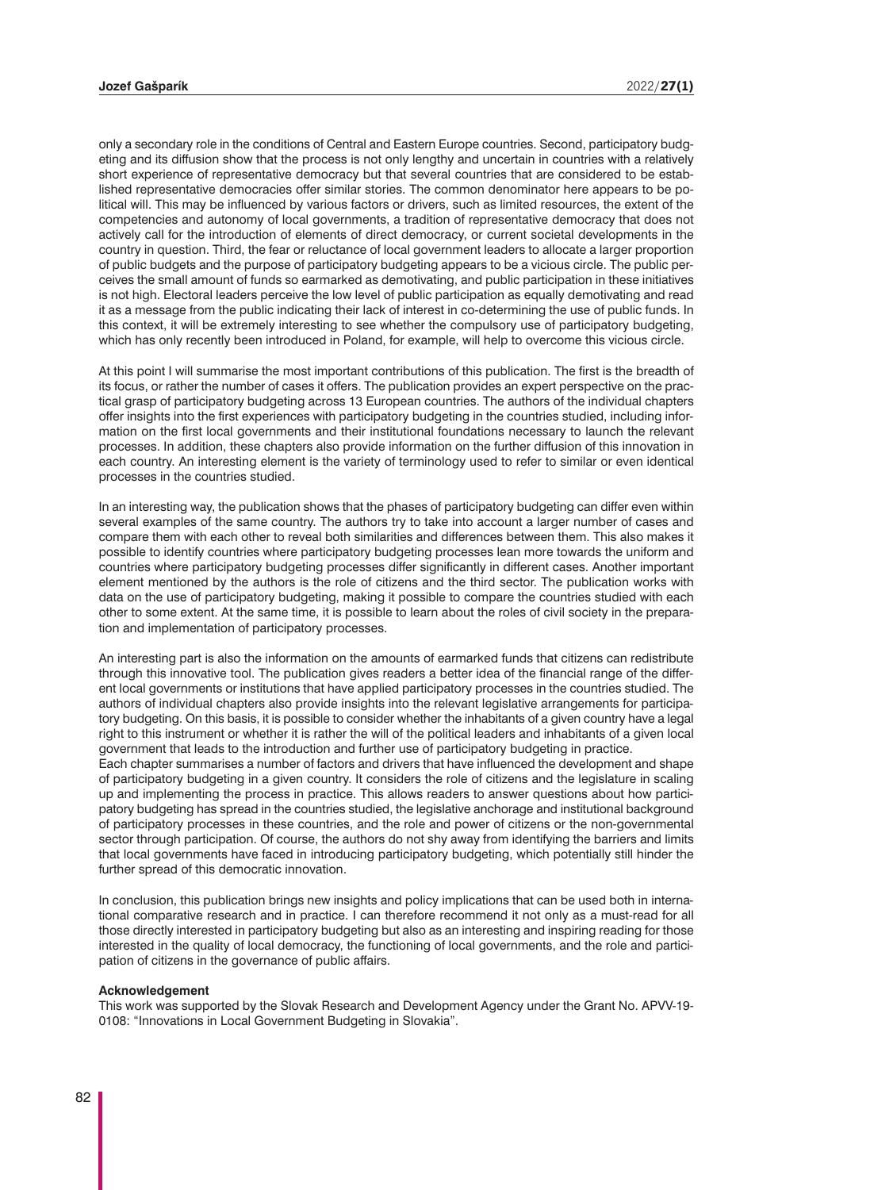only a secondary role in the conditions of Central and Eastern Europe countries. Second, participatory budgeting and its diffusion show that the process is not only lengthy and uncertain in countries with a relatively short experience of representative democracy but that several countries that are considered to be established representative democracies offer similar stories. The common denominator here appears to be political will. This may be influenced by various factors or drivers, such as limited resources, the extent of the competencies and autonomy of local governments, a tradition of representative democracy that does not actively call for the introduction of elements of direct democracy, or current societal developments in the country in question. Third, the fear or reluctance of local government leaders to allocate a larger proportion of public budgets and the purpose of participatory budgeting appears to be a vicious circle. The public perceives the small amount of funds so earmarked as demotivating, and public participation in these initiatives is not high. Electoral leaders perceive the low level of public participation as equally demotivating and read it as a message from the public indicating their lack of interest in co-determining the use of public funds. In this context, it will be extremely interesting to see whether the compulsory use of participatory budgeting, which has only recently been introduced in Poland, for example, will help to overcome this vicious circle.

At this point I will summarise the most important contributions of this publication. The first is the breadth of its focus, or rather the number of cases it offers. The publication provides an expert perspective on the practical grasp of participatory budgeting across 13 European countries. The authors of the individual chapters offer insights into the first experiences with participatory budgeting in the countries studied, including information on the first local governments and their institutional foundations necessary to launch the relevant processes. In addition, these chapters also provide information on the further diffusion of this innovation in each country. An interesting element is the variety of terminology used to refer to similar or even identical processes in the countries studied.

In an interesting way, the publication shows that the phases of participatory budgeting can differ even within several examples of the same country. The authors try to take into account a larger number of cases and compare them with each other to reveal both similarities and differences between them. This also makes it possible to identify countries where participatory budgeting processes lean more towards the uniform and countries where participatory budgeting processes differ significantly in different cases. Another important element mentioned by the authors is the role of citizens and the third sector. The publication works with data on the use of participatory budgeting, making it possible to compare the countries studied with each other to some extent. At the same time, it is possible to learn about the roles of civil society in the preparation and implementation of participatory processes.

An interesting part is also the information on the amounts of earmarked funds that citizens can redistribute through this innovative tool. The publication gives readers a better idea of the financial range of the different local governments or institutions that have applied participatory processes in the countries studied. The authors of individual chapters also provide insights into the relevant legislative arrangements for participatory budgeting. On this basis, it is possible to consider whether the inhabitants of a given country have a legal right to this instrument or whether it is rather the will of the political leaders and inhabitants of a given local government that leads to the introduction and further use of participatory budgeting in practice.

Each chapter summarises a number of factors and drivers that have influenced the development and shape of participatory budgeting in a given country. It considers the role of citizens and the legislature in scaling up and implementing the process in practice. This allows readers to answer questions about how participatory budgeting has spread in the countries studied, the legislative anchorage and institutional background of participatory processes in these countries, and the role and power of citizens or the non-governmental sector through participation. Of course, the authors do not shy away from identifying the barriers and limits that local governments have faced in introducing participatory budgeting, which potentially still hinder the further spread of this democratic innovation.

In conclusion, this publication brings new insights and policy implications that can be used both in international comparative research and in practice. I can therefore recommend it not only as a must-read for all those directly interested in participatory budgeting but also as an interesting and inspiring reading for those interested in the quality of local democracy, the functioning of local governments, and the role and participation of citizens in the governance of public affairs.

## **Acknowledgement**

This work was supported by the Slovak Research and Development Agency under the Grant No. APVV-19- 0108: "Innovations in Local Government Budgeting in Slovakia".